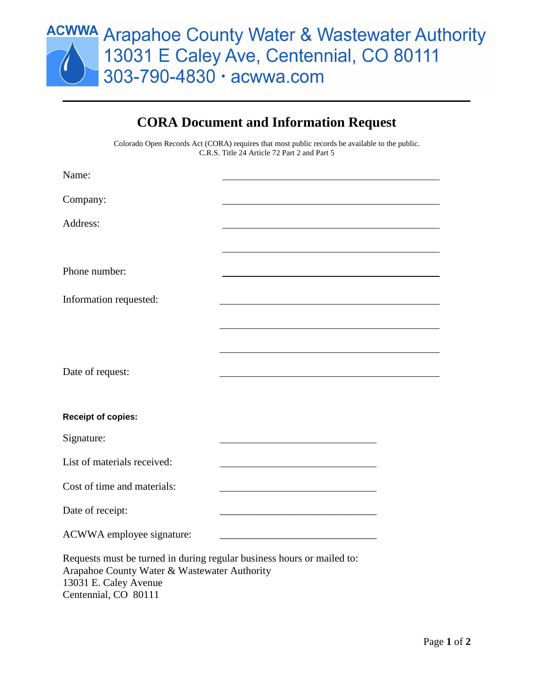

## **CORA Document and Information Request**

Colorado Open Records Act (CORA) requires that most public records be available to the public. C.R.S. Title 24 Article 72 Part 2 and Part 5

| Name:                                                                                                                                           |                                                                                                                     |  |
|-------------------------------------------------------------------------------------------------------------------------------------------------|---------------------------------------------------------------------------------------------------------------------|--|
| Company:                                                                                                                                        |                                                                                                                     |  |
| Address:                                                                                                                                        |                                                                                                                     |  |
|                                                                                                                                                 |                                                                                                                     |  |
|                                                                                                                                                 |                                                                                                                     |  |
| Phone number:                                                                                                                                   |                                                                                                                     |  |
| Information requested:                                                                                                                          |                                                                                                                     |  |
|                                                                                                                                                 |                                                                                                                     |  |
|                                                                                                                                                 |                                                                                                                     |  |
|                                                                                                                                                 |                                                                                                                     |  |
| Date of request:                                                                                                                                |                                                                                                                     |  |
|                                                                                                                                                 |                                                                                                                     |  |
| <b>Receipt of copies:</b>                                                                                                                       |                                                                                                                     |  |
| Signature:                                                                                                                                      |                                                                                                                     |  |
| List of materials received:                                                                                                                     | <u> 1980 - Johann Barn, mars eta bainar eta baina eta baina eta baina eta baina eta baina eta baina eta baina e</u> |  |
| Cost of time and materials:                                                                                                                     | <u> 1989 - Johann Barn, amerikansk politiker (d. 1989)</u>                                                          |  |
| Date of receipt:                                                                                                                                |                                                                                                                     |  |
| ACWWA employee signature:                                                                                                                       |                                                                                                                     |  |
| Requests must be turned in during regular business hours or mailed to:<br>Arapahoe County Water & Wastewater Authority<br>13031 E. Caley Avenue |                                                                                                                     |  |

Centennial, CO 80111